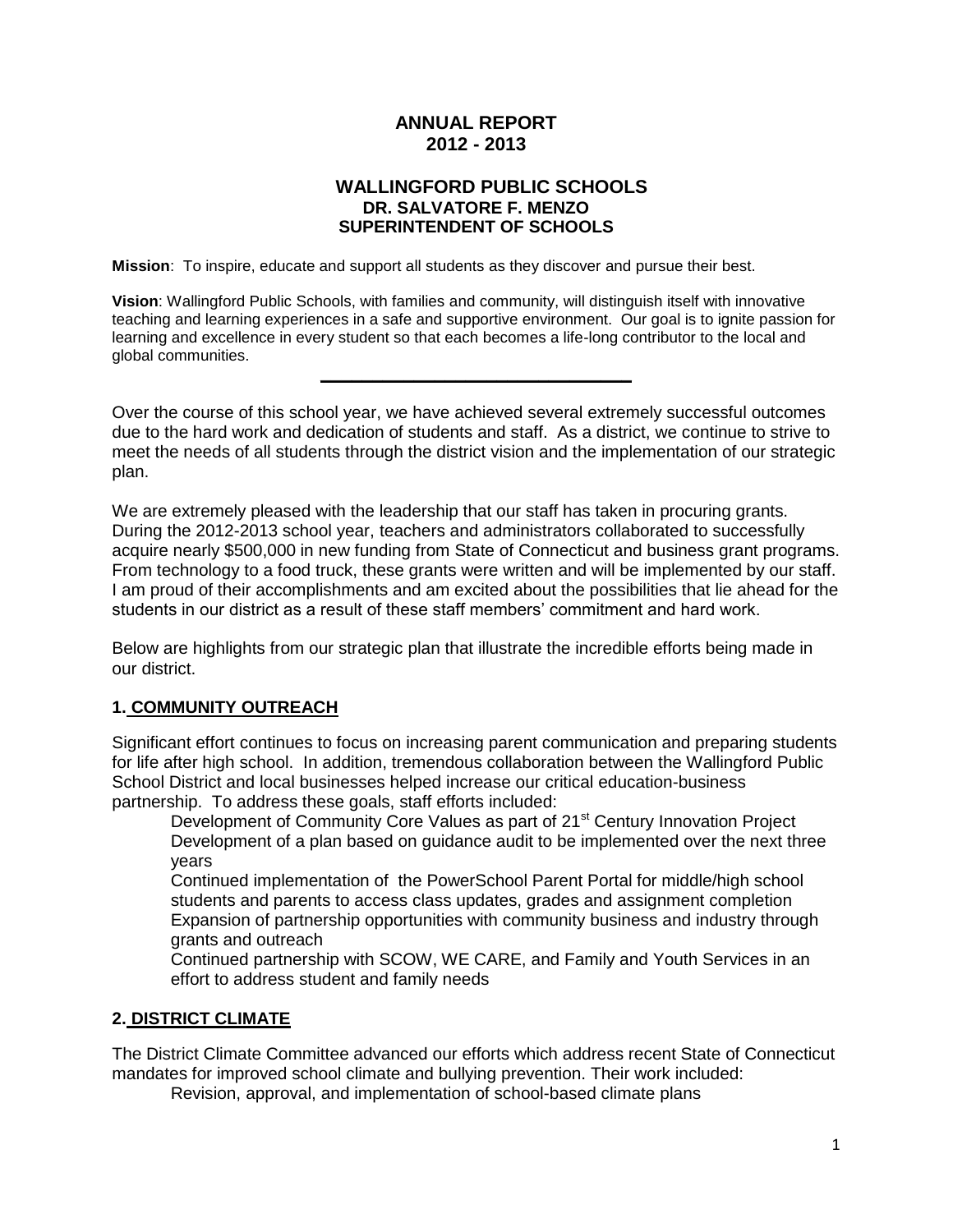# **ANNUAL REPORT 2012 - 2013**

### **WALLINGFORD PUBLIC SCHOOLS DR. SALVATORE F. MENZO SUPERINTENDENT OF SCHOOLS**

**Mission**: To inspire, educate and support all students as they discover and pursue their best.

**Vision**: Wallingford Public Schools, with families and community, will distinguish itself with innovative teaching and learning experiences in a safe and supportive environment. Our goal is to ignite passion for learning and excellence in every student so that each becomes a life-long contributor to the local and global communities.

**\_\_\_\_\_\_\_\_\_\_\_\_\_\_\_\_\_\_\_\_\_\_\_\_\_\_\_\_\_\_**

Over the course of this school year, we have achieved several extremely successful outcomes due to the hard work and dedication of students and staff. As a district, we continue to strive to meet the needs of all students through the district vision and the implementation of our strategic plan.

We are extremely pleased with the leadership that our staff has taken in procuring grants. During the 2012-2013 school year, teachers and administrators collaborated to successfully acquire nearly \$500,000 in new funding from State of Connecticut and business grant programs. From technology to a food truck, these grants were written and will be implemented by our staff. I am proud of their accomplishments and am excited about the possibilities that lie ahead for the students in our district as a result of these staff members' commitment and hard work.

Below are highlights from our strategic plan that illustrate the incredible efforts being made in our district.

#### **1. COMMUNITY OUTREACH**

Significant effort continues to focus on increasing parent communication and preparing students for life after high school. In addition, tremendous collaboration between the Wallingford Public School District and local businesses helped increase our critical education-business partnership. To address these goals, staff efforts included:

Development of Community Core Values as part of 21<sup>st</sup> Century Innovation Project Development of a plan based on guidance audit to be implemented over the next three years

Continued implementation of the PowerSchool Parent Portal for middle/high school students and parents to access class updates, grades and assignment completion Expansion of partnership opportunities with community business and industry through grants and outreach

Continued partnership with SCOW, WE CARE, and Family and Youth Services in an effort to address student and family needs

#### **2. DISTRICT CLIMATE**

The District Climate Committee advanced our efforts which address recent State of Connecticut mandates for improved school climate and bullying prevention. Their work included:

Revision, approval, and implementation of school-based climate plans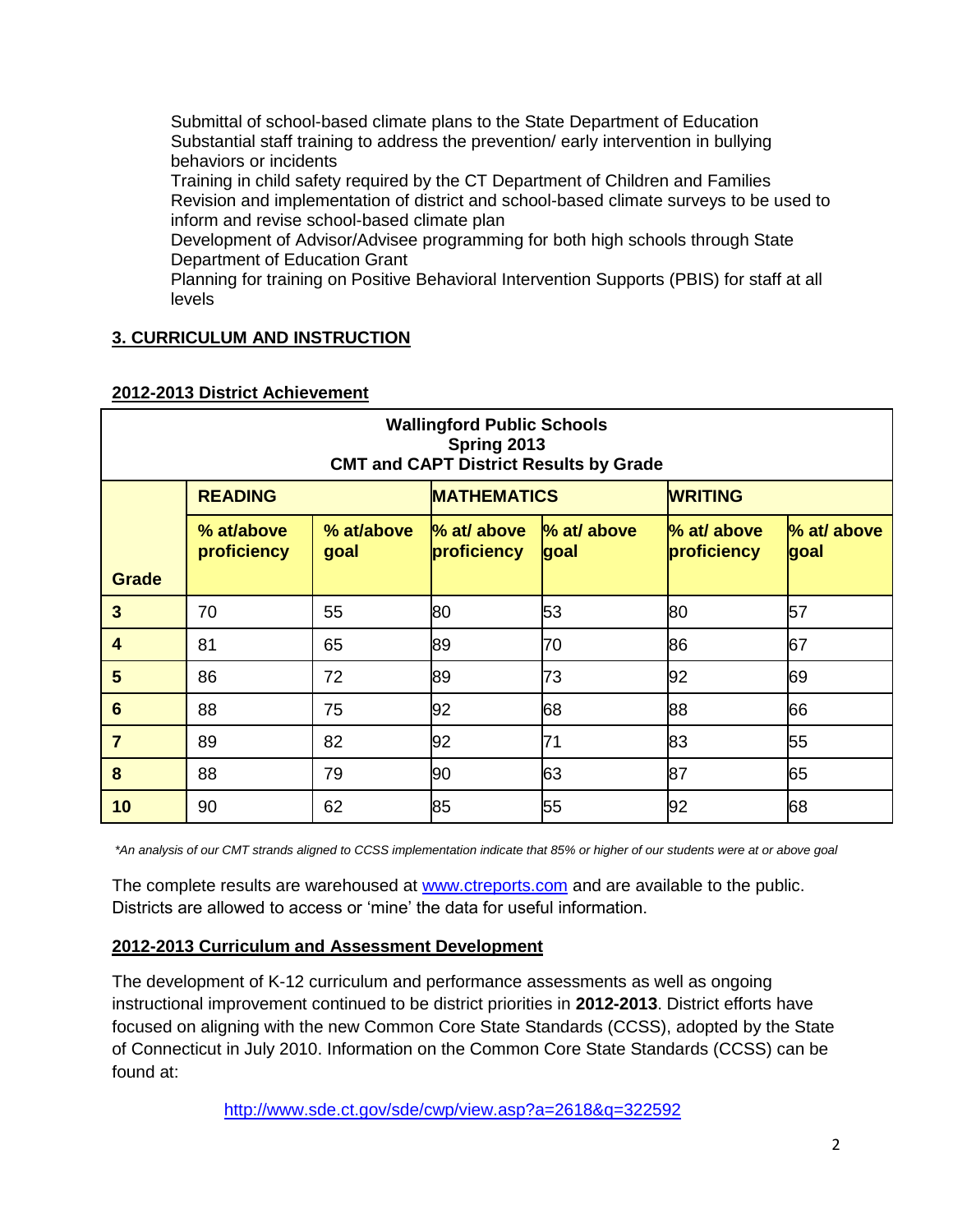Submittal of school-based climate plans to the State Department of Education Substantial staff training to address the prevention/ early intervention in bullying behaviors or incidents

Training in child safety required by the CT Department of Children and Families Revision and implementation of district and school-based climate surveys to be used to inform and revise school-based climate plan

Development of Advisor/Advisee programming for both high schools through State Department of Education Grant

Planning for training on Positive Behavioral Intervention Supports (PBIS) for staff at all levels

# **3. CURRICULUM AND INSTRUCTION**

| <b>Wallingford Public Schools</b><br>Spring 2013<br><b>CMT and CAPT District Results by Grade</b> |                           |                    |                              |                     |                            |                     |
|---------------------------------------------------------------------------------------------------|---------------------------|--------------------|------------------------------|---------------------|----------------------------|---------------------|
|                                                                                                   | <b>READING</b>            |                    | <b>MATHEMATICS</b>           |                     | <b>WRITING</b>             |                     |
|                                                                                                   | % at/above<br>proficiency | % at/above<br>goal | $%$ at/ above<br>proficiency | % at/ above<br>goal | % at/ above<br>proficiency | % at/ above<br>goal |
| <b>Grade</b>                                                                                      |                           |                    |                              |                     |                            |                     |
| $\mathbf{3}$                                                                                      | 70                        | 55                 | 80                           | 53                  | 80                         | 57                  |
| $\overline{\mathbf{4}}$                                                                           | 81                        | 65                 | 89                           | 70                  | 86                         | 67                  |
| 5                                                                                                 | 86                        | 72                 | 89                           | 73                  | 92                         | 69                  |
| $6\phantom{1}6$                                                                                   | 88                        | 75                 | 92                           | 68                  | 88                         | 66                  |
| $\overline{7}$                                                                                    | 89                        | 82                 | 92                           | 71                  | 83                         | 55                  |
| 8                                                                                                 | 88                        | 79                 | 90                           | 63                  | 87                         | 65                  |
| 10                                                                                                | 90                        | 62                 | 85                           | 55                  | 92                         | 68                  |

#### **2012-2013 District Achievement**

*\*An analysis of our CMT strands aligned to CCSS implementation indicate that 85% or higher of our students were at or above goal*

The complete results are warehoused at www.ctreports.com and are available to the public. Districts are allowed to access or 'mine' the data for useful information.

## **2012-2013 Curriculum and Assessment Development**

The development of K-12 curriculum and performance assessments as well as ongoing instructional improvement continued to be district priorities in **2012-2013**. District efforts have focused on aligning with the new Common Core State Standards (CCSS), adopted by the State of Connecticut in July 2010. Information on the Common Core State Standards (CCSS) can be found at:

<http://www.sde.ct.gov/sde/cwp/view.asp?a=2618&q=322592>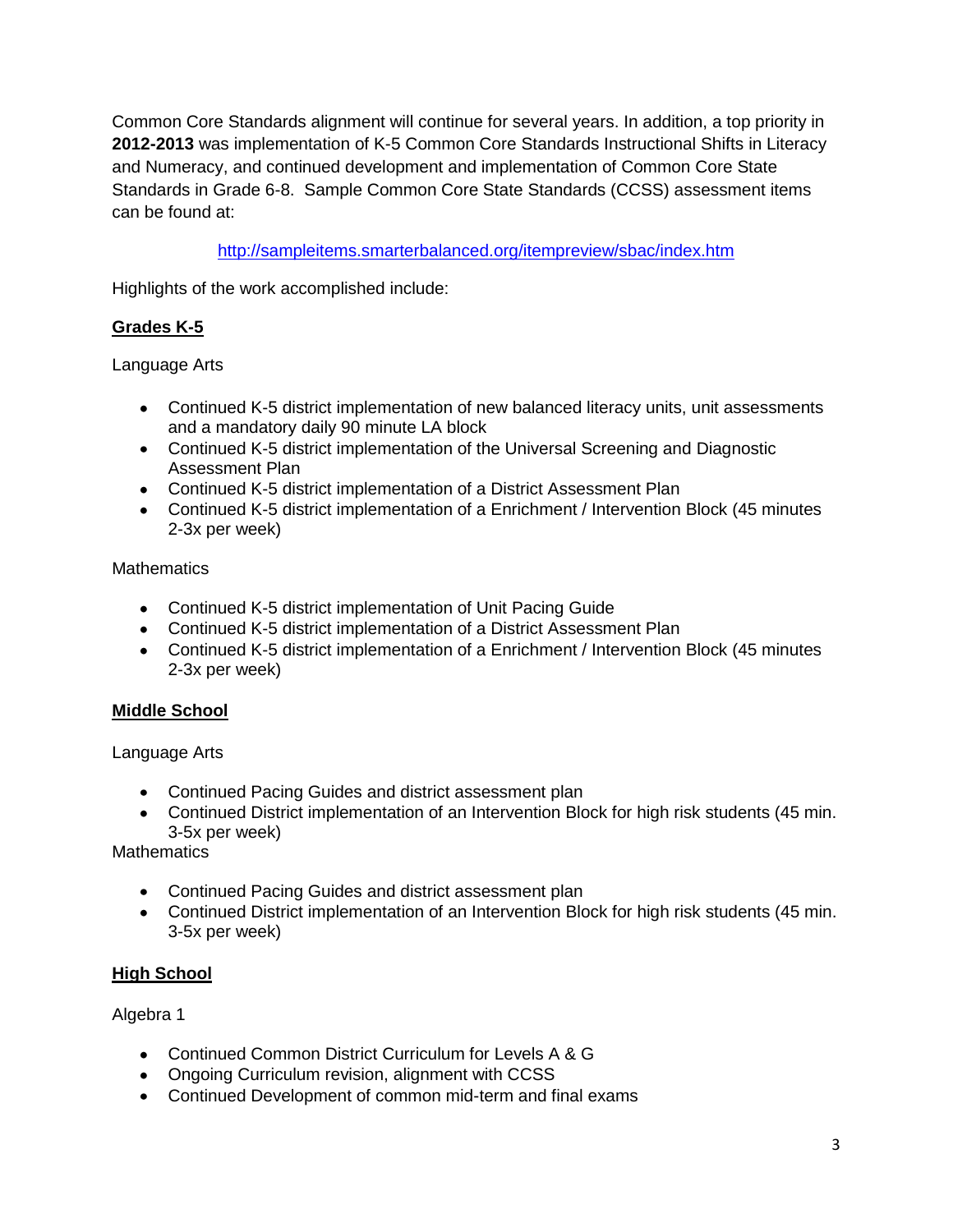Common Core Standards alignment will continue for several years. In addition, a top priority in **2012-2013** was implementation of K-5 Common Core Standards Instructional Shifts in Literacy and Numeracy, and continued development and implementation of Common Core State Standards in Grade 6-8. Sample Common Core State Standards (CCSS) assessment items can be found at:

<http://sampleitems.smarterbalanced.org/itempreview/sbac/index.htm>

Highlights of the work accomplished include:

# **Grades K-5**

Language Arts

- Continued K-5 district implementation of new balanced literacy units, unit assessments and a mandatory daily 90 minute LA block
- Continued K-5 district implementation of the Universal Screening and Diagnostic Assessment Plan
- Continued K-5 district implementation of a District Assessment Plan
- Continued K-5 district implementation of a Enrichment / Intervention Block (45 minutes 2-3x per week)

**Mathematics** 

- Continued K-5 district implementation of Unit Pacing Guide
- Continued K-5 district implementation of a District Assessment Plan
- Continued K-5 district implementation of a Enrichment / Intervention Block (45 minutes 2-3x per week)

# **Middle School**

Language Arts

- Continued Pacing Guides and district assessment plan
- Continued District implementation of an Intervention Block for high risk students (45 min. 3-5x per week)

**Mathematics** 

- Continued Pacing Guides and district assessment plan
- Continued District implementation of an Intervention Block for high risk students (45 min. 3-5x per week)

# **High School**

Algebra 1

- Continued Common District Curriculum for Levels A & G
- Ongoing Curriculum revision, alignment with CCSS
- Continued Development of common mid-term and final exams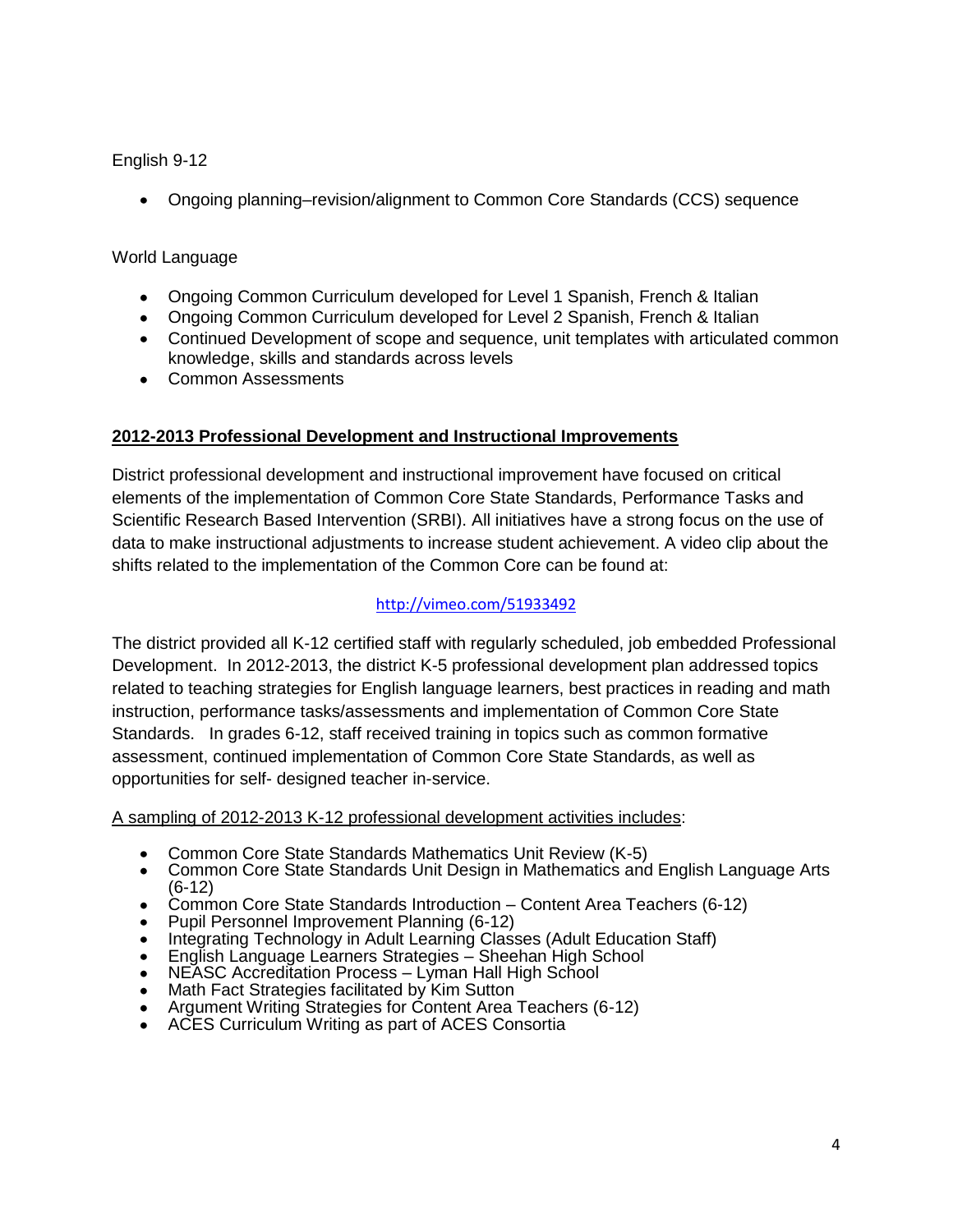English 9-12

Ongoing planning–revision/alignment to Common Core Standards (CCS) sequence

## World Language

- Ongoing Common Curriculum developed for Level 1 Spanish, French & Italian
- Ongoing Common Curriculum developed for Level 2 Spanish, French & Italian
- Continued Development of scope and sequence, unit templates with articulated common knowledge, skills and standards across levels
- Common Assessments

# **2012-2013 Professional Development and Instructional Improvements**

District professional development and instructional improvement have focused on critical elements of the implementation of Common Core State Standards, Performance Tasks and Scientific Research Based Intervention (SRBI). All initiatives have a strong focus on the use of data to make instructional adjustments to increase student achievement. A video clip about the shifts related to the implementation of the Common Core can be found at:

# <http://vimeo.com/51933492>

The district provided all K-12 certified staff with regularly scheduled, job embedded Professional Development. In 2012-2013, the district K-5 professional development plan addressed topics related to teaching strategies for English language learners, best practices in reading and math instruction, performance tasks/assessments and implementation of Common Core State Standards. In grades 6-12, staff received training in topics such as common formative assessment, continued implementation of Common Core State Standards, as well as opportunities for self- designed teacher in-service.

A sampling of 2012-2013 K-12 professional development activities includes:

- Common Core State Standards Mathematics Unit Review (K-5)
- $\bullet$ Common Core State Standards Unit Design in Mathematics and English Language Arts (6-12)
- Common Core State Standards Introduction Content Area Teachers (6-12)
- Pupil Personnel Improvement Planning (6-12)
- Integrating Technology in Adult Learning Classes (Adult Education Staff)
- English Language Learners Strategies Sheehan High School
- NEASC Accreditation Process Lyman Hall High School
- Math Fact Strategies facilitated by Kim Sutton
- Argument Writing Strategies for Content Area Teachers (6-12)
- ACES Curriculum Writing as part of ACES Consortia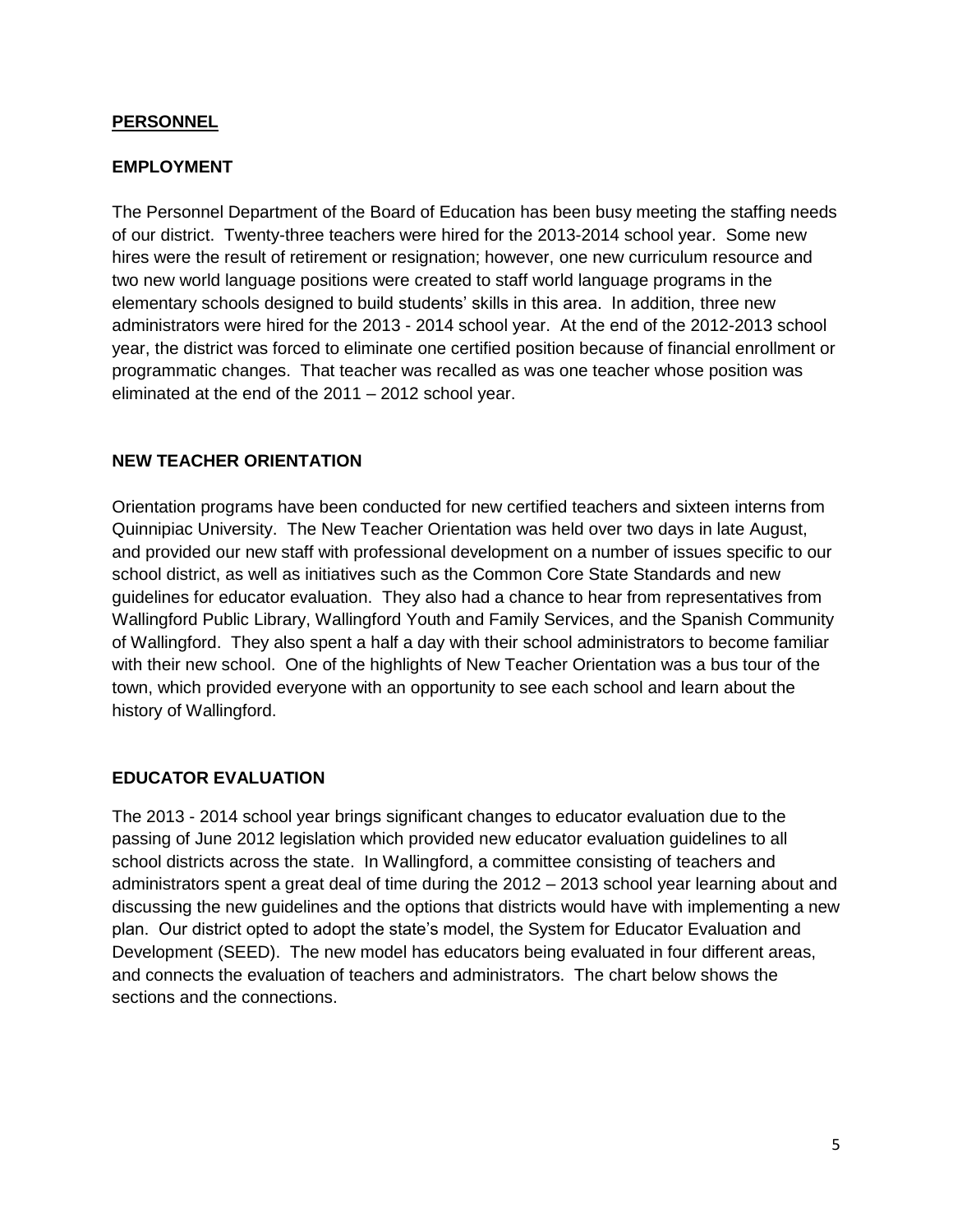### **PERSONNEL**

## **EMPLOYMENT**

The Personnel Department of the Board of Education has been busy meeting the staffing needs of our district. Twenty-three teachers were hired for the 2013-2014 school year. Some new hires were the result of retirement or resignation; however, one new curriculum resource and two new world language positions were created to staff world language programs in the elementary schools designed to build students' skills in this area. In addition, three new administrators were hired for the 2013 - 2014 school year. At the end of the 2012-2013 school year, the district was forced to eliminate one certified position because of financial enrollment or programmatic changes. That teacher was recalled as was one teacher whose position was eliminated at the end of the 2011 – 2012 school year.

### **NEW TEACHER ORIENTATION**

Orientation programs have been conducted for new certified teachers and sixteen interns from Quinnipiac University. The New Teacher Orientation was held over two days in late August, and provided our new staff with professional development on a number of issues specific to our school district, as well as initiatives such as the Common Core State Standards and new guidelines for educator evaluation. They also had a chance to hear from representatives from Wallingford Public Library, Wallingford Youth and Family Services, and the Spanish Community of Wallingford. They also spent a half a day with their school administrators to become familiar with their new school. One of the highlights of New Teacher Orientation was a bus tour of the town, which provided everyone with an opportunity to see each school and learn about the history of Wallingford.

## **EDUCATOR EVALUATION**

The 2013 - 2014 school year brings significant changes to educator evaluation due to the passing of June 2012 legislation which provided new educator evaluation guidelines to all school districts across the state. In Wallingford, a committee consisting of teachers and administrators spent a great deal of time during the 2012 – 2013 school year learning about and discussing the new guidelines and the options that districts would have with implementing a new plan. Our district opted to adopt the state's model, the System for Educator Evaluation and Development (SEED). The new model has educators being evaluated in four different areas, and connects the evaluation of teachers and administrators. The chart below shows the sections and the connections.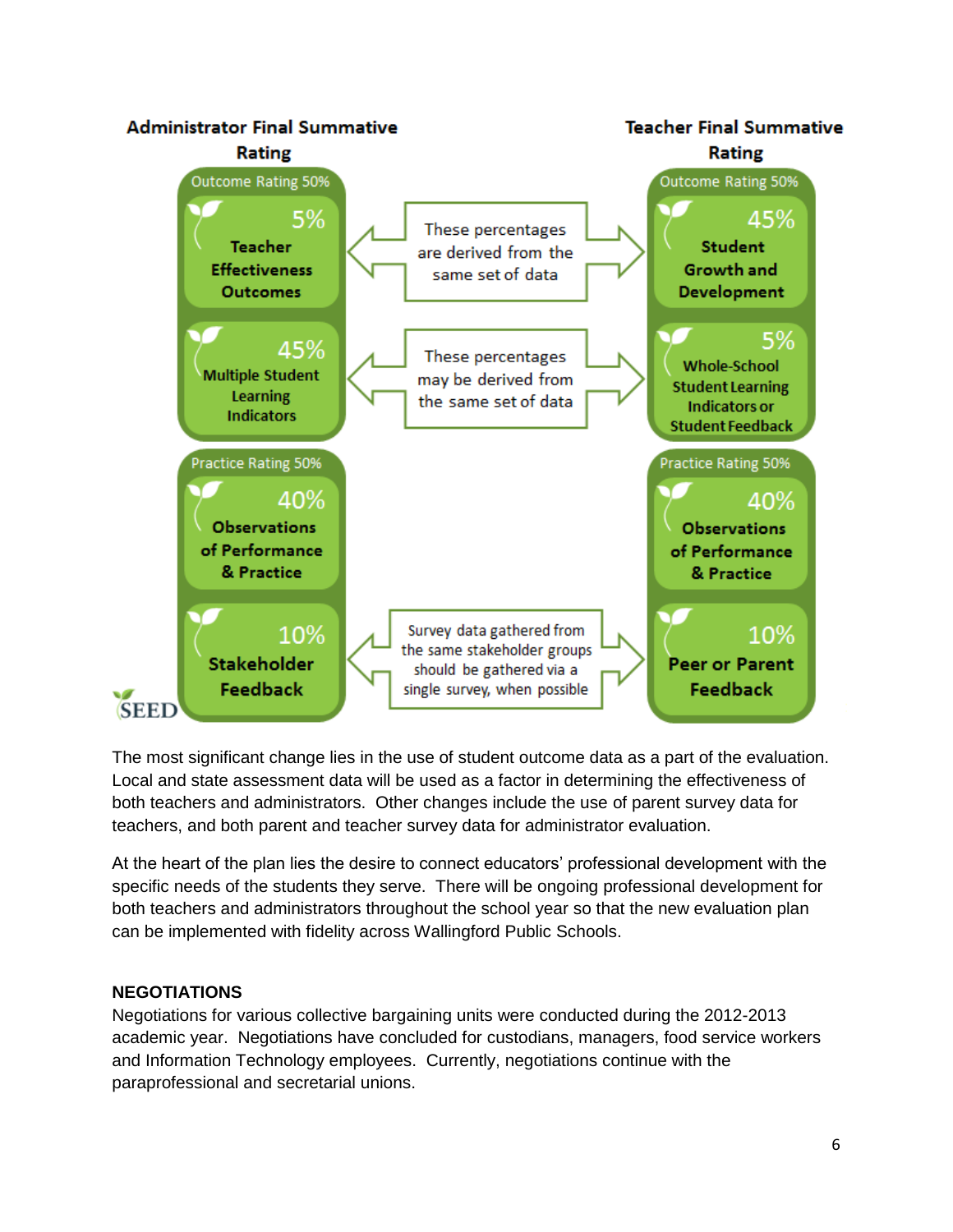

The most significant change lies in the use of student outcome data as a part of the evaluation. Local and state assessment data will be used as a factor in determining the effectiveness of both teachers and administrators. Other changes include the use of parent survey data for teachers, and both parent and teacher survey data for administrator evaluation.

At the heart of the plan lies the desire to connect educators' professional development with the specific needs of the students they serve. There will be ongoing professional development for both teachers and administrators throughout the school year so that the new evaluation plan can be implemented with fidelity across Wallingford Public Schools.

## **NEGOTIATIONS**

Negotiations for various collective bargaining units were conducted during the 2012-2013 academic year. Negotiations have concluded for custodians, managers, food service workers and Information Technology employees. Currently, negotiations continue with the paraprofessional and secretarial unions.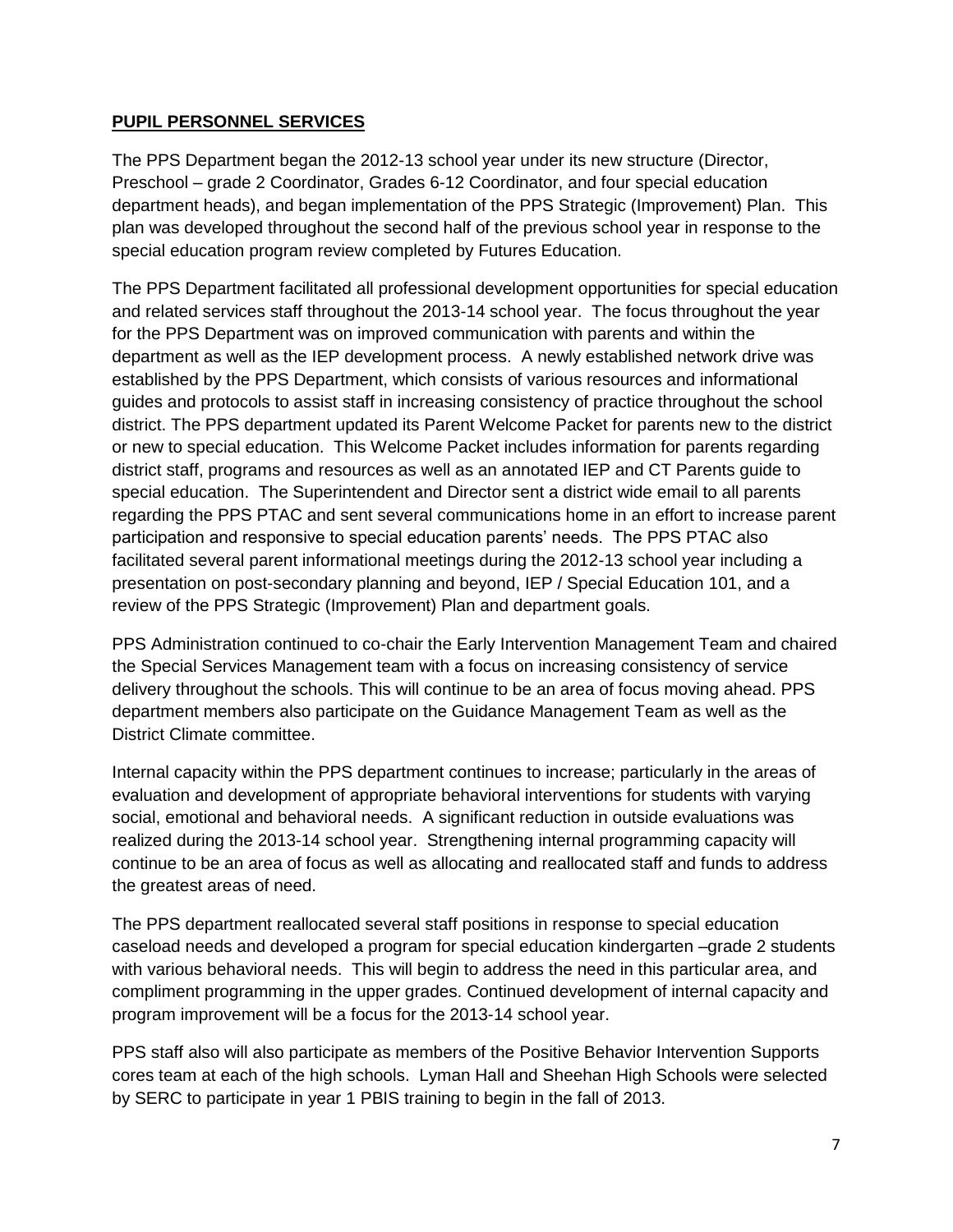## **PUPIL PERSONNEL SERVICES**

The PPS Department began the 2012-13 school year under its new structure (Director, Preschool – grade 2 Coordinator, Grades 6-12 Coordinator, and four special education department heads), and began implementation of the PPS Strategic (Improvement) Plan. This plan was developed throughout the second half of the previous school year in response to the special education program review completed by Futures Education.

The PPS Department facilitated all professional development opportunities for special education and related services staff throughout the 2013-14 school year. The focus throughout the year for the PPS Department was on improved communication with parents and within the department as well as the IEP development process. A newly established network drive was established by the PPS Department, which consists of various resources and informational guides and protocols to assist staff in increasing consistency of practice throughout the school district. The PPS department updated its Parent Welcome Packet for parents new to the district or new to special education. This Welcome Packet includes information for parents regarding district staff, programs and resources as well as an annotated IEP and CT Parents guide to special education. The Superintendent and Director sent a district wide email to all parents regarding the PPS PTAC and sent several communications home in an effort to increase parent participation and responsive to special education parents' needs. The PPS PTAC also facilitated several parent informational meetings during the 2012-13 school year including a presentation on post-secondary planning and beyond, IEP / Special Education 101, and a review of the PPS Strategic (Improvement) Plan and department goals.

PPS Administration continued to co-chair the Early Intervention Management Team and chaired the Special Services Management team with a focus on increasing consistency of service delivery throughout the schools. This will continue to be an area of focus moving ahead. PPS department members also participate on the Guidance Management Team as well as the District Climate committee.

Internal capacity within the PPS department continues to increase; particularly in the areas of evaluation and development of appropriate behavioral interventions for students with varying social, emotional and behavioral needs. A significant reduction in outside evaluations was realized during the 2013-14 school year. Strengthening internal programming capacity will continue to be an area of focus as well as allocating and reallocated staff and funds to address the greatest areas of need.

The PPS department reallocated several staff positions in response to special education caseload needs and developed a program for special education kindergarten –grade 2 students with various behavioral needs. This will begin to address the need in this particular area, and compliment programming in the upper grades. Continued development of internal capacity and program improvement will be a focus for the 2013-14 school year.

PPS staff also will also participate as members of the Positive Behavior Intervention Supports cores team at each of the high schools. Lyman Hall and Sheehan High Schools were selected by SERC to participate in year 1 PBIS training to begin in the fall of 2013.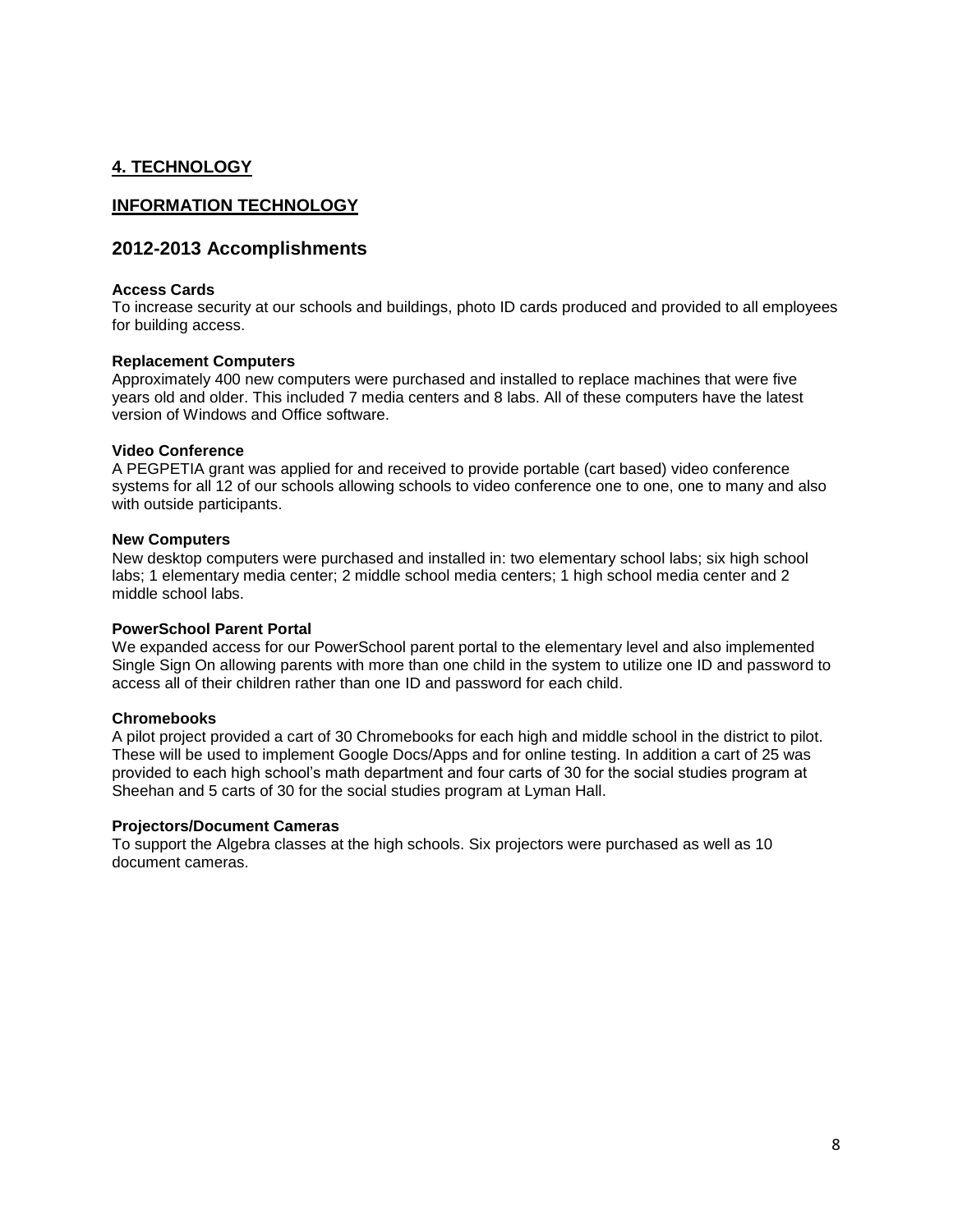### **4. TECHNOLOGY**

#### **INFORMATION TECHNOLOGY**

#### **2012-2013 Accomplishments**

#### **Access Cards**

To increase security at our schools and buildings, photo ID cards produced and provided to all employees for building access.

#### **Replacement Computers**

Approximately 400 new computers were purchased and installed to replace machines that were five years old and older. This included 7 media centers and 8 labs. All of these computers have the latest version of Windows and Office software.

#### **Video Conference**

A PEGPETIA grant was applied for and received to provide portable (cart based) video conference systems for all 12 of our schools allowing schools to video conference one to one, one to many and also with outside participants.

#### **New Computers**

New desktop computers were purchased and installed in: two elementary school labs; six high school labs; 1 elementary media center; 2 middle school media centers; 1 high school media center and 2 middle school labs.

#### **PowerSchool Parent Portal**

We expanded access for our PowerSchool parent portal to the elementary level and also implemented Single Sign On allowing parents with more than one child in the system to utilize one ID and password to access all of their children rather than one ID and password for each child.

#### **Chromebooks**

A pilot project provided a cart of 30 Chromebooks for each high and middle school in the district to pilot. These will be used to implement Google Docs/Apps and for online testing. In addition a cart of 25 was provided to each high school's math department and four carts of 30 for the social studies program at Sheehan and 5 carts of 30 for the social studies program at Lyman Hall.

#### **Projectors/Document Cameras**

To support the Algebra classes at the high schools. Six projectors were purchased as well as 10 document cameras.